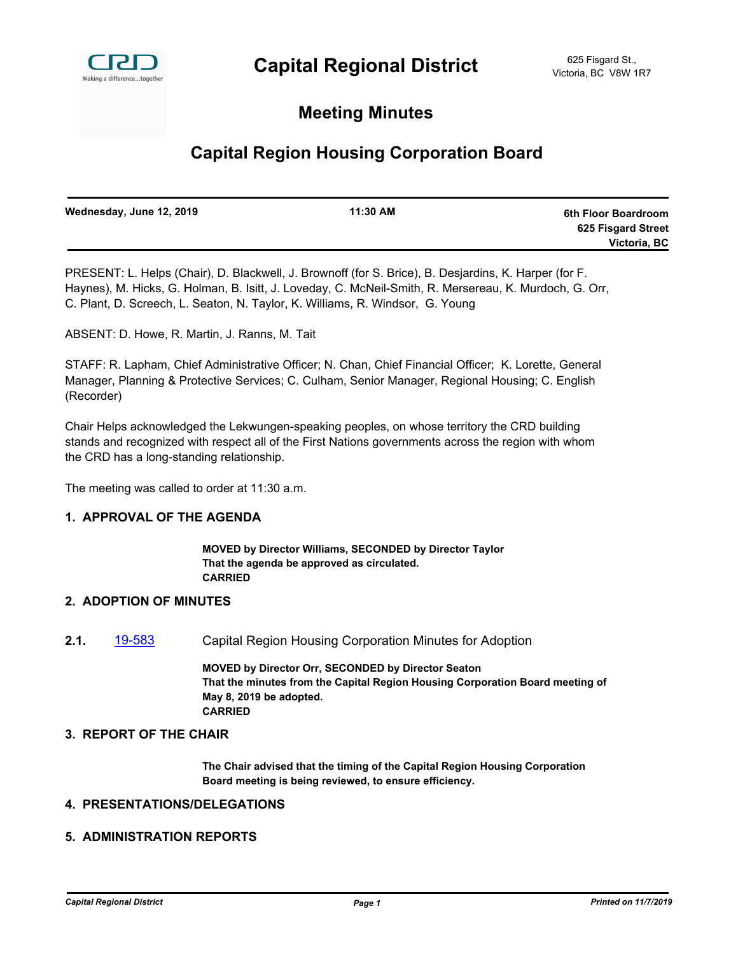

## **Meeting Minutes**

# **Capital Region Housing Corporation Board**

| Wednesday, June 12, 2019 | 11:30 AM | 6th Floor Boardroom |
|--------------------------|----------|---------------------|
|                          |          | 625 Fisgard Street  |
|                          |          | Victoria, BC        |
|                          |          |                     |

PRESENT: L. Helps (Chair), D. Blackwell, J. Brownoff (for S. Brice), B. Desjardins, K. Harper (for F. Haynes), M. Hicks, G. Holman, B. Isitt, J. Loveday, C. McNeil-Smith, R. Mersereau, K. Murdoch, G. Orr, C. Plant, D. Screech, L. Seaton, N. Taylor, K. Williams, R. Windsor, G. Young

ABSENT: D. Howe, R. Martin, J. Ranns, M. Tait

STAFF: R. Lapham, Chief Administrative Officer; N. Chan, Chief Financial Officer; K. Lorette, General Manager, Planning & Protective Services; C. Culham, Senior Manager, Regional Housing; C. English (Recorder)

Chair Helps acknowledged the Lekwungen-speaking peoples, on whose territory the CRD building stands and recognized with respect all of the First Nations governments across the region with whom the CRD has a long-standing relationship.

The meeting was called to order at 11:30 a.m.

## **1. APPROVAL OF THE AGENDA**

**MOVED by Director Williams, SECONDED by Director Taylor That the agenda be approved as circulated. CARRIED**

#### **2. ADOPTION OF MINUTES**

**2.1.** [19-583](http://crd.ca.legistar.com/gateway.aspx?m=l&id=/matter.aspx?key=5671) Capital Region Housing Corporation Minutes for Adoption

**MOVED by Director Orr, SECONDED by Director Seaton That the minutes from the Capital Region Housing Corporation Board meeting of May 8, 2019 be adopted. CARRIED**

#### **3. REPORT OF THE CHAIR**

**The Chair advised that the timing of the Capital Region Housing Corporation Board meeting is being reviewed, to ensure efficiency.**

## **4. PRESENTATIONS/DELEGATIONS**

### **5. ADMINISTRATION REPORTS**